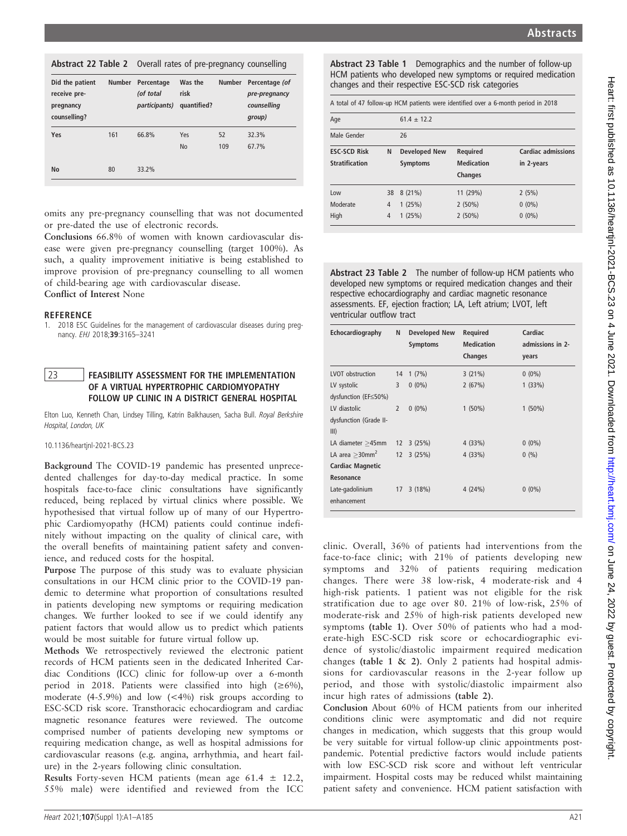| Did the patient<br>receive pre-<br>pregnancy<br>counselling? | <b>Number</b> | Percentage<br>(of total<br><i>participants</i> ) | Was the<br>risk<br>quantified? | <b>Number</b> | Percentage (of<br>pre-pregnancy<br>counselling<br>group) |
|--------------------------------------------------------------|---------------|--------------------------------------------------|--------------------------------|---------------|----------------------------------------------------------|
| Yes                                                          | 161           | 66.8%                                            | Yes<br><b>No</b>               | 52<br>109     | 32.3%<br>67.7%                                           |
| <b>No</b>                                                    | 80            | 33.2%                                            |                                |               |                                                          |

omits any pre-pregnancy counselling that was not documented or pre-dated the use of electronic records.

Conclusions 66.8% of women with known cardiovascular disease were given pre-pregnancy counselling (target 100%). As such, a quality improvement initiative is being established to improve provision of pre-pregnancy counselling to all women of child-bearing age with cardiovascular disease. Conflict of Interest None

#### **REFERENCE**

1. 2018 ESC Guidelines for the management of cardiovascular diseases during pregnancy. EHJ 2018;39:3165–3241

### 23 **FEASIBILITY ASSESSMENT FOR THE IMPLEMENTATION** OF A VIRTUAL HYPERTROPHIC CARDIOMYOPATHY FOLLOW UP CLINIC IN A DISTRICT GENERAL HOSPITAL

Elton Luo, Kenneth Chan, Lindsey Tilling, Katrin Balkhausen, Sacha Bull. Royal Berkshire Hospital, London, UK

#### 10.1136/heartjnl-2021-BCS.23

Background The COVID-19 pandemic has presented unprecedented challenges for day-to-day medical practice. In some hospitals face-to-face clinic consultations have significantly reduced, being replaced by virtual clinics where possible. We hypothesised that virtual follow up of many of our Hypertrophic Cardiomyopathy (HCM) patients could continue indefinitely without impacting on the quality of clinical care, with the overall benefits of maintaining patient safety and convenience, and reduced costs for the hospital.

Purpose The purpose of this study was to evaluate physician consultations in our HCM clinic prior to the COVID-19 pandemic to determine what proportion of consultations resulted in patients developing new symptoms or requiring medication changes. We further looked to see if we could identify any patient factors that would allow us to predict which patients would be most suitable for future virtual follow up.

Methods We retrospectively reviewed the electronic patient records of HCM patients seen in the dedicated Inherited Cardiac Conditions (ICC) clinic for follow-up over a 6-month period in 2018. Patients were classified into high  $(\geq 6\%)$ , moderate  $(4-5.9\%)$  and low  $(< 4\%)$  risk groups according to ESC-SCD risk score. Transthoracic echocardiogram and cardiac magnetic resonance features were reviewed. The outcome comprised number of patients developing new symptoms or requiring medication change, as well as hospital admissions for cardiovascular reasons (e.g. angina, arrhythmia, and heart failure) in the 2-years following clinic consultation.

Results Forty-seven HCM patients (mean age  $61.4 \pm 12.2$ , 55% male) were identified and reviewed from the ICC Abstract 23 Table 1 Demographics and the number of follow-up HCM patients who developed new symptoms or required medication changes and their respective ESC-SCD risk categories

| Age                   |                | $61.4 \pm 12.2$      |                   |                           |
|-----------------------|----------------|----------------------|-------------------|---------------------------|
| Male Gender           |                | 26                   |                   |                           |
| <b>ESC-SCD Risk</b>   | N              | <b>Developed New</b> | Required          | <b>Cardiac admissions</b> |
| <b>Stratification</b> |                | <b>Symptoms</b>      | <b>Medication</b> | in 2-years                |
|                       |                |                      | <b>Changes</b>    |                           |
| Low                   | 38             | 8(21%)               | 11 (29%)          | 2(5%)                     |
| Moderate              | $\overline{4}$ | 1(25%)               | $2(50\%)$         | $0(0\%)$                  |
| High                  | $\overline{4}$ | 1(25%)               | $2(50\%)$         | $0(0\%)$                  |

Abstract 23 Table 2 The number of follow-up HCM patients who developed new symptoms or required medication changes and their respective echocardiography and cardiac magnetic resonance assessments. EF, ejection fraction; LA, Left atrium; LVOT, left ventricular outflow tract

| Echocardiography              | N                 | <b>Developed New</b><br><b>Symptoms</b> | Required<br><b>Medication</b><br><b>Changes</b> | Cardiac<br>admissions in 2-<br>years |
|-------------------------------|-------------------|-----------------------------------------|-------------------------------------------------|--------------------------------------|
| <b>LVOT</b> obstruction       | 14                | 1(7%)                                   | 3(21%)                                          | $0(0\%)$                             |
| LV systolic                   | 3                 | $0(0\%)$                                | 2(67%)                                          | 1(33%)                               |
| dysfunction (EF≤50%)          |                   |                                         |                                                 |                                      |
| LV diastolic                  | $\overline{2}$    | $0(0\%)$                                | $1(50\%)$                                       | $1(50\%)$                            |
| dysfunction (Grade II-        |                   |                                         |                                                 |                                      |
| III)                          |                   |                                         |                                                 |                                      |
| LA diameter >45mm             | $12 \overline{ }$ | 3(25%)                                  | 4(33%)                                          | $0(0\%)$                             |
| LA area $>$ 30mm <sup>2</sup> | 12                | 3(25%)                                  | 4(33%)                                          | 0(%)                                 |
| <b>Cardiac Magnetic</b>       |                   |                                         |                                                 |                                      |
| Resonance                     |                   |                                         |                                                 |                                      |
| Late-gadolinium               | 17                | 3(18%)                                  | 4(24%)                                          | $0(0\%)$                             |
| enhancement                   |                   |                                         |                                                 |                                      |

clinic. Overall, 36% of patients had interventions from the face-to-face clinic; with 21% of patients developing new symptoms and 32% of patients requiring medication changes. There were 38 low-risk, 4 moderate-risk and 4 high-risk patients. 1 patient was not eligible for the risk stratification due to age over 80. 21% of low-risk, 25% of moderate-risk and 25% of high-risk patients developed new symptoms (table 1). Over 50% of patients who had a moderate-high ESC-SCD risk score or echocardiographic evidence of systolic/diastolic impairment required medication changes (table 1 & 2). Only 2 patients had hospital admissions for cardiovascular reasons in the 2-year follow up period, and those with systolic/diastolic impairment also incur high rates of admissions (table 2).

Conclusion About 60% of HCM patients from our inherited conditions clinic were asymptomatic and did not require changes in medication, which suggests that this group would be very suitable for virtual follow-up clinic appointments postpandemic. Potential predictive factors would include patients with low ESC-SCD risk score and without left ventricular impairment. Hospital costs may be reduced whilst maintaining patient safety and convenience. HCM patient satisfaction with